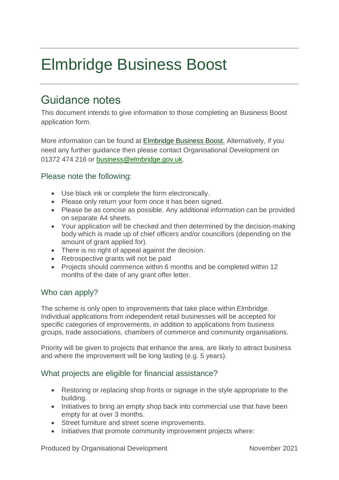# Elmbridge Business Boost

# Guidance notes

This document intends to give information to those completing an Business Boost application form.

More information can be found at [Elmbridge Business Boost.](https://www.elmbridge.gov.uk/business/support-for-businesses/ecif/) Alternatively, if you need any further guidance then please contact Organisational Development on 01372 474 216 or [business@elmbridge.gov.uk.](mailto:business@elmbridge.gov.uk)

### Please note the following:

- Use black ink or complete the form electronically.
- Please only return your form once it has been signed.
- Please be as concise as possible. Any additional information can be provided on separate A4 sheets.
- Your application will be checked and then determined by the decision-making body which is made up of chief officers and/or councillors (depending on the amount of grant applied for).
- There is no right of appeal against the decision.
- Retrospective grants will not be paid
- Projects should commence within 6 months and be completed within 12 months of the date of any grant offer letter.

#### Who can apply?

The scheme is only open to improvements that take place within Elmbridge. Individual applications from independent retail businesses will be accepted for specific categories of improvements, in addition to applications from business groups, trade associations, chambers of commerce and community organisations.

Priority will be given to projects that enhance the area, are likely to attract business and where the improvement will be long lasting (e.g. 5 years).

#### What projects are eligible for financial assistance?

- Restoring or replacing shop fronts or signage in the style appropriate to the building.
- Initiatives to bring an empty shop back into commercial use that have been empty for at over 3 months.
- Street furniture and street scene improvements.
- Initiatives that promote community improvement projects where:

Produced by Organisational Development November 2021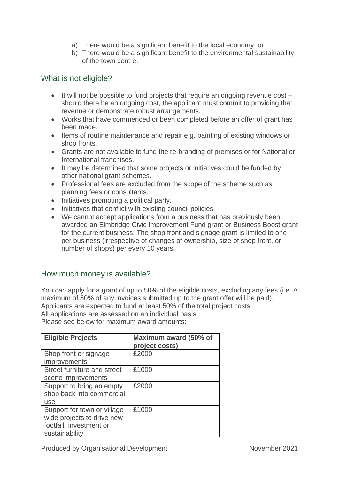- a) There would be a significant benefit to the local economy; or
- b) There would be a significant benefit to the environmental sustainability of the town centre.

#### What is not eligible?

- It will not be possible to fund projects that require an ongoing revenue cost should there be an ongoing cost, the applicant must commit to providing that revenue or demonstrate robust arrangements.
- Works that have commenced or been completed before an offer of grant has been made.
- Items of routine maintenance and repair e.g. painting of existing windows or shop fronts.
- Grants are not available to fund the re-branding of premises or for National or International franchises.
- It may be determined that some projects or initiatives could be funded by other national grant schemes.
- Professional fees are excluded from the scope of the scheme such as planning fees or consultants.
- Initiatives promoting a political party.
- Initiatives that conflict with existing council policies.
- We cannot accept applications from a business that has previously been awarded an Elmbridge Civic Improvement Fund grant or Business Boost grant for the current business. The shop front and signage grant is limited to one per business (irrespective of changes of ownership, size of shop front, or number of shops) per every 10 years.

#### How much money is available?

You can apply for a grant of up to 50% of the eligible costs, excluding any fees (i.e. A maximum of 50% of any invoices submitted up to the grant offer will be paid). Applicants are expected to fund at least 50% of the total project costs. All applications are assessed on an individual basis.

Please see below for maximum award amounts:

| <b>Eligible Projects</b>                                                                               | Maximum award (50% of<br>project costs) |
|--------------------------------------------------------------------------------------------------------|-----------------------------------------|
| Shop front or signage<br>improvements                                                                  | £2000                                   |
| Street furniture and street<br>scene improvements                                                      | £1000                                   |
| Support to bring an empty<br>shop back into commercial<br>use                                          | £2000                                   |
| Support for town or village<br>wide projects to drive new<br>footfall, investment or<br>sustainability | £1000                                   |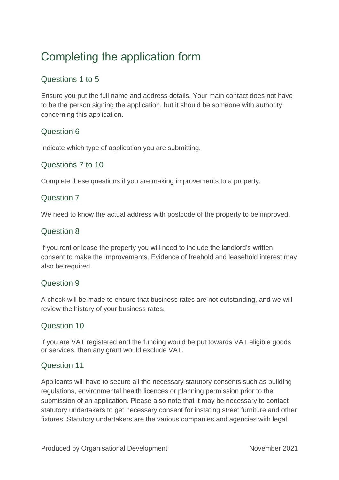# Completing the application form

# Questions 1 to 5

Ensure you put the full name and address details. Your main contact does not have to be the person signing the application, but it should be someone with authority concerning this application.

### Question 6

Indicate which type of application you are submitting.

#### Questions 7 to 10

Complete these questions if you are making improvements to a property.

#### Question 7

We need to know the actual address with postcode of the property to be improved.

#### Question 8

If you rent or lease the property you will need to include the landlord's written consent to make the improvements. Evidence of freehold and leasehold interest may also be required.

#### Question 9

A check will be made to ensure that business rates are not outstanding, and we will review the history of your business rates.

#### Question 10

If you are VAT registered and the funding would be put towards VAT eligible goods or services, then any grant would exclude VAT.

#### Question 11

Applicants will have to secure all the necessary statutory consents such as building regulations, environmental health licences or planning permission prior to the submission of an application. Please also note that it may be necessary to contact statutory undertakers to get necessary consent for instating street furniture and other fixtures. Statutory undertakers are the various companies and agencies with legal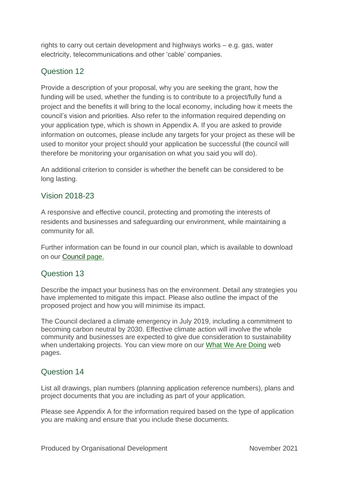rights to carry out certain development and highways works – e.g. gas, water electricity, telecommunications and other 'cable' companies.

# Question 12

Provide a description of your proposal, why you are seeking the grant, how the funding will be used, whether the funding is to contribute to a project/fully fund a project and the benefits it will bring to the local economy, including how it meets the council's vision and priorities. Also refer to the information required depending on your application type, which is shown in Appendix A. If you are asked to provide information on outcomes, please include any targets for your project as these will be used to monitor your project should your application be successful (the council will therefore be monitoring your organisation on what you said you will do).

An additional criterion to consider is whether the benefit can be considered to be long lasting.

### Vision 2018-23

A responsive and effective council, protecting and promoting the interests of residents and businesses and safeguarding our environment, while maintaining a community for all.

Further information can be found in our council plan, which is available to download on our [Council](https://www.elmbridge.gov.uk/council/) page.

#### Question 13

Describe the impact your business has on the environment. Detail any strategies you have implemented to mitigate this impact. Please also outline the impact of the proposed project and how you will minimise its impact.

The Council declared a climate emergency in July 2019, including a commitment to becoming carbon neutral by 2030. Effective climate action will involve the whole community and businesses are expected to give due consideration to sustainability when undertaking projects. You can view more on our [What We Are Doing](https://www.elmbridge.gov.uk/sustainable-elmbridge/what-we-are-doing/) web pages.

#### Question 14

List all drawings, plan numbers (planning application reference numbers), plans and project documents that you are including as part of your application.

Please see Appendix A for the information required based on the type of application you are making and ensure that you include these documents.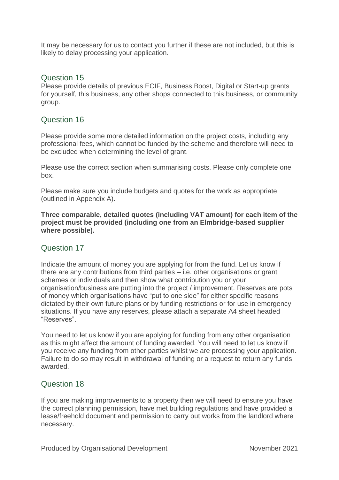It may be necessary for us to contact you further if these are not included, but this is likely to delay processing your application.

#### Question 15

Please provide details of previous ECIF, Business Boost, Digital or Start-up grants for yourself, this business, any other shops connected to this business, or community group.

#### Question 16

Please provide some more detailed information on the project costs, including any professional fees, which cannot be funded by the scheme and therefore will need to be excluded when determining the level of grant.

Please use the correct section when summarising costs. Please only complete one box.

Please make sure you include budgets and quotes for the work as appropriate (outlined in Appendix A).

**Three comparable, detailed quotes (including VAT amount) for each item of the project must be provided (including one from an Elmbridge-based supplier where possible).**

#### Question 17

Indicate the amount of money you are applying for from the fund. Let us know if there are any contributions from third parties – i.e. other organisations or grant schemes or individuals and then show what contribution you or your organisation/business are putting into the project / improvement. Reserves are pots of money which organisations have "put to one side" for either specific reasons dictated by their own future plans or by funding restrictions or for use in emergency situations. If you have any reserves, please attach a separate A4 sheet headed "Reserves".

You need to let us know if you are applying for funding from any other organisation as this might affect the amount of funding awarded. You will need to let us know if you receive any funding from other parties whilst we are processing your application. Failure to do so may result in withdrawal of funding or a request to return any funds awarded.

#### Question 18

If you are making improvements to a property then we will need to ensure you have the correct planning permission, have met building regulations and have provided a lease/freehold document and permission to carry out works from the landlord where necessary.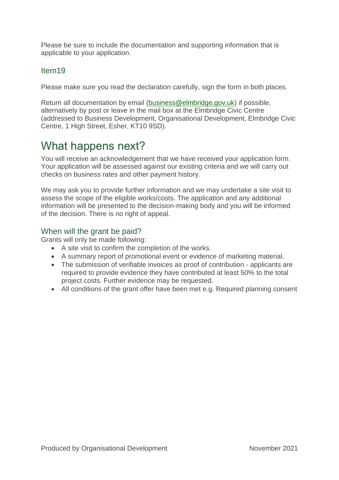Please be sure to include the documentation and supporting information that is applicable to your application.

#### Item19

Please make sure you read the declaration carefully, sign the form in both places.

Return all documentation by email [\(business@elmbridge.gov.uk\)](mailto:business@elmbridge.gov.uk) if possible, alternatively by post or leave in the mail box at the Elmbridge Civic Centre (addressed to Business Development, Organisational Development, Elmbridge Civic Centre, 1 High Street, Esher, KT10 9SD).

# What happens next?

You will receive an acknowledgement that we have received your application form. Your application will be assessed against our existing criteria and we will carry out checks on business rates and other payment history.

We may ask you to provide further information and we may undertake a site visit to assess the scope of the eligible works/costs. The application and any additional information will be presented to the decision-making body and you will be informed of the decision. There is no right of appeal.

# When will the grant be paid?

Grants will only be made following:

- A site visit to confirm the completion of the works.
- A summary report of promotional event or evidence of marketing material.
- The submission of verifiable invoices as proof of contribution applicants are required to provide evidence they have contributed at least 50% to the total project costs. Further evidence may be requested.
- All conditions of the grant offer have been met e.g. Required planning consent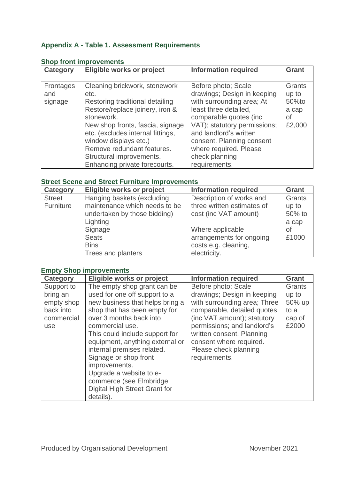# **Appendix A - Table 1. Assessment Requirements**

| <b>Category</b> | Eligible works or project         | <b>Information required</b>  | <b>Grant</b> |
|-----------------|-----------------------------------|------------------------------|--------------|
|                 |                                   |                              |              |
| Frontages       | Cleaning brickwork, stonework     | Before photo; Scale          | Grants       |
| and             | etc.                              | drawings; Design in keeping  | up to        |
| signage         | Restoring traditional detailing   | with surrounding area; At    | 50%to        |
|                 | Restore/replace joinery, iron &   | least three detailed,        | a cap        |
|                 | stonework.                        | comparable quotes (inc.      | Οf           |
|                 | New shop fronts, fascia, signage  | VAT); statutory permissions; | £2,000       |
|                 | etc. (excludes internal fittings, | and landlord's written       |              |
|                 | window displays etc.)             | consent. Planning consent    |              |
|                 | Remove redundant features.        | where required. Please       |              |
|                 | Structural improvements.          | check planning               |              |
|                 | Enhancing private forecourts.     | requirements.                |              |

#### **Shop front improvements**

#### **Street Scene and Street Furniture Improvements**

| Category      | Eligible works or project     | <b>Information required</b> | <b>Grant</b> |
|---------------|-------------------------------|-----------------------------|--------------|
| <b>Street</b> | Hanging baskets (excluding    | Description of works and    | Grants       |
| Furniture     | maintenance which needs to be | three written estimates of  | up to        |
|               | undertaken by those bidding)  | cost (inc VAT amount)       | 50% to       |
|               | Lighting                      |                             | a cap        |
|               | Signage                       | Where applicable            | <b>of</b>    |
|               | <b>Seats</b>                  | arrangements for ongoing    | £1000        |
|               | <b>Bins</b>                   | costs e.g. cleaning,        |              |
|               | Trees and planters            | electricity.                |              |

#### **Empty Shop improvements**

| <b>Category</b>                                                        | Eligible works or project                                                                                                                                                                                                                                                                                                                                                                                                      | <b>Information required</b>                                                                                                                                                                                                                                                       | <b>Grant</b>                                         |
|------------------------------------------------------------------------|--------------------------------------------------------------------------------------------------------------------------------------------------------------------------------------------------------------------------------------------------------------------------------------------------------------------------------------------------------------------------------------------------------------------------------|-----------------------------------------------------------------------------------------------------------------------------------------------------------------------------------------------------------------------------------------------------------------------------------|------------------------------------------------------|
| Support to<br>bring an<br>empty shop<br>back into<br>commercial<br>use | The empty shop grant can be<br>used for one off support to a<br>new business that helps bring a<br>shop that has been empty for<br>over 3 months back into<br>commercial use.<br>This could include support for<br>equipment, anything external or<br>internal premises related.<br>Signage or shop front<br>improvements.<br>Upgrade a website to e-<br>commerce (see Elmbridge<br>Digital High Street Grant for<br>details). | Before photo; Scale<br>drawings; Design in keeping<br>with surrounding area; Three<br>comparable, detailed quotes<br>(inc VAT amount); statutory<br>permissions; and landlord's<br>written consent. Planning<br>consent where required.<br>Please check planning<br>requirements. | Grants<br>up to<br>50% up<br>to a<br>cap of<br>£2000 |